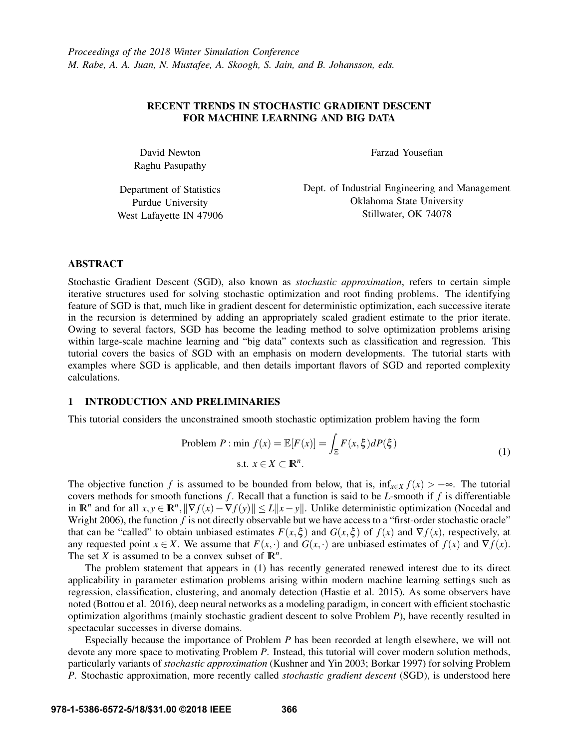# RECENT TRENDS IN STOCHASTIC GRADIENT DESCENT FOR MACHINE LEARNING AND BIG DATA

David Newton Raghu Pasupathy Farzad Yousefian

Department of Statistics Purdue University West Lafayette IN 47906 Dept. of Industrial Engineering and Management Oklahoma State University Stillwater, OK 74078

## ABSTRACT

Stochastic Gradient Descent (SGD), also known as *stochastic approximation*, refers to certain simple iterative structures used for solving stochastic optimization and root finding problems. The identifying feature of SGD is that, much like in gradient descent for deterministic optimization, each successive iterate in the recursion is determined by adding an appropriately scaled gradient estimate to the prior iterate. Owing to several factors, SGD has become the leading method to solve optimization problems arising within large-scale machine learning and "big data" contexts such as classification and regression. This tutorial covers the basics of SGD with an emphasis on modern developments. The tutorial starts with examples where SGD is applicable, and then details important flavors of SGD and reported complexity calculations.

# 1 INTRODUCTION AND PRELIMINARIES

This tutorial considers the unconstrained smooth stochastic optimization problem having the form

Problem P: min 
$$
f(x) = \mathbb{E}[F(x)] = \int_{\Xi} F(x, \xi) dP(\xi)
$$
  
s.t.  $x \in X \subset \mathbb{R}^n$ . (1)

The objective function *f* is assumed to be bounded from below, that is,  $\inf_{x \in X} f(x) > -\infty$ . The tutorial covers methods for smooth functions *f* . Recall that a function is said to be *L*-smooth if *f* is differentiable in  $\mathbb{R}^n$  and for all  $x, y \in \mathbb{R}^n$ ,  $\|\nabla f(x) - \nabla f(y)\| \le L \|x - y\|$ . Unlike deterministic optimization (Nocedal and Wright 2006), the function *f* is not directly observable but we have access to a "first-order stochastic oracle" that can be "called" to obtain unbiased estimates  $F(x,\xi)$  and  $G(x,\xi)$  of  $f(x)$  and  $\nabla f(x)$ , respectively, at any requested point  $x \in X$ . We assume that  $F(x, \cdot)$  and  $G(x, \cdot)$  are unbiased estimates of  $f(x)$  and  $\nabla f(x)$ . The set *X* is assumed to be a convex subset of  $\mathbb{R}^n$ .

The problem statement that appears in (1) has recently generated renewed interest due to its direct applicability in parameter estimation problems arising within modern machine learning settings such as regression, classification, clustering, and anomaly detection (Hastie et al. 2015). As some observers have noted (Bottou et al. 2016), deep neural networks as a modeling paradigm, in concert with efficient stochastic optimization algorithms (mainly stochastic gradient descent to solve Problem *P*), have recently resulted in spectacular successes in diverse domains.

Especially because the importance of Problem *P* has been recorded at length elsewhere, we will not devote any more space to motivating Problem *P*. Instead, this tutorial will cover modern solution methods, particularly variants of *stochastic approximation* (Kushner and Yin 2003; Borkar 1997) for solving Problem *P*. Stochastic approximation, more recently called *stochastic gradient descent* (SGD), is understood here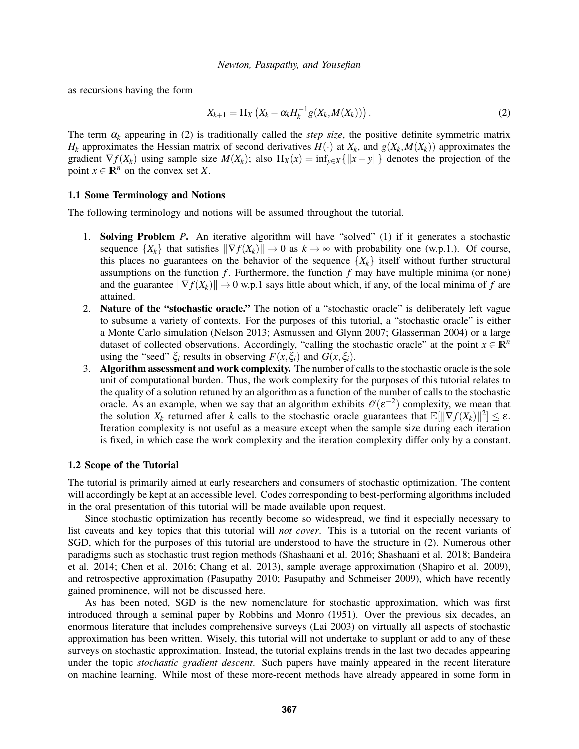as recursions having the form

$$
X_{k+1} = \Pi_X \left( X_k - \alpha_k H_k^{-1} g(X_k, M(X_k)) \right). \tag{2}
$$

The term  $\alpha_k$  appearing in (2) is traditionally called the *step size*, the positive definite symmetric matrix *H*<sub>k</sub> approximates the Hessian matrix of second derivatives  $H(\cdot)$  at  $X_k$ , and  $g(X_k, M(X_k))$  approximates the gradient  $\nabla f(X_k)$  using sample size  $M(X_k)$ ; also  $\Pi_X(x) = \inf_{y \in X} {\{\Vert x - y \Vert\}}$  denotes the projection of the point  $x \in \mathbb{R}^n$  on the convex set *X*.

## 1.1 Some Terminology and Notions

The following terminology and notions will be assumed throughout the tutorial.

- 1. Solving Problem *P*. An iterative algorithm will have "solved" (1) if it generates a stochastic sequence  $\{X_k\}$  that satisfies  $\|\nabla f(X_k)\| \to 0$  as  $k \to \infty$  with probability one (w.p.1.). Of course, this places no guarantees on the behavior of the sequence  ${X_k}$  itself without further structural assumptions on the function  $f$ . Furthermore, the function  $f$  may have multiple minima (or none) and the guarantee  $\|\nabla f(X_k)\| \to 0$  w.p.1 says little about which, if any, of the local minima of f are attained.
- 2. Nature of the "stochastic oracle." The notion of a "stochastic oracle" is deliberately left vague to subsume a variety of contexts. For the purposes of this tutorial, a "stochastic oracle" is either a Monte Carlo simulation (Nelson 2013; Asmussen and Glynn 2007; Glasserman 2004) or a large dataset of collected observations. Accordingly, "calling the stochastic oracle" at the point  $x \in \mathbb{R}^n$ using the "seed"  $\xi_i$  results in observing  $F(x, \xi_i)$  and  $G(x, \xi_i)$ .
- 3. Algorithm assessment and work complexity. The number of calls to the stochastic oracle is the sole unit of computational burden. Thus, the work complexity for the purposes of this tutorial relates to the quality of a solution retuned by an algorithm as a function of the number of calls to the stochastic oracle. As an example, when we say that an algorithm exhibits  $\mathcal{O}(\varepsilon^{-2})$  complexity, we mean that the solution  $X_k$  returned after *k* calls to the stochastic oracle guarantees that  $\mathbb{E}[\|\nabla f(X_k)\|^2] \leq \varepsilon$ . Iteration complexity is not useful as a measure except when the sample size during each iteration is fixed, in which case the work complexity and the iteration complexity differ only by a constant.

## 1.2 Scope of the Tutorial

The tutorial is primarily aimed at early researchers and consumers of stochastic optimization. The content will accordingly be kept at an accessible level. Codes corresponding to best-performing algorithms included in the oral presentation of this tutorial will be made available upon request.

Since stochastic optimization has recently become so widespread, we find it especially necessary to list caveats and key topics that this tutorial will *not cover*. This is a tutorial on the recent variants of SGD, which for the purposes of this tutorial are understood to have the structure in (2). Numerous other paradigms such as stochastic trust region methods (Shashaani et al. 2016; Shashaani et al. 2018; Bandeira et al. 2014; Chen et al. 2016; Chang et al. 2013), sample average approximation (Shapiro et al. 2009), and retrospective approximation (Pasupathy 2010; Pasupathy and Schmeiser 2009), which have recently gained prominence, will not be discussed here.

As has been noted, SGD is the new nomenclature for stochastic approximation, which was first introduced through a seminal paper by Robbins and Monro (1951). Over the previous six decades, an enormous literature that includes comprehensive surveys (Lai 2003) on virtually all aspects of stochastic approximation has been written. Wisely, this tutorial will not undertake to supplant or add to any of these surveys on stochastic approximation. Instead, the tutorial explains trends in the last two decades appearing under the topic *stochastic gradient descent*. Such papers have mainly appeared in the recent literature on machine learning. While most of these more-recent methods have already appeared in some form in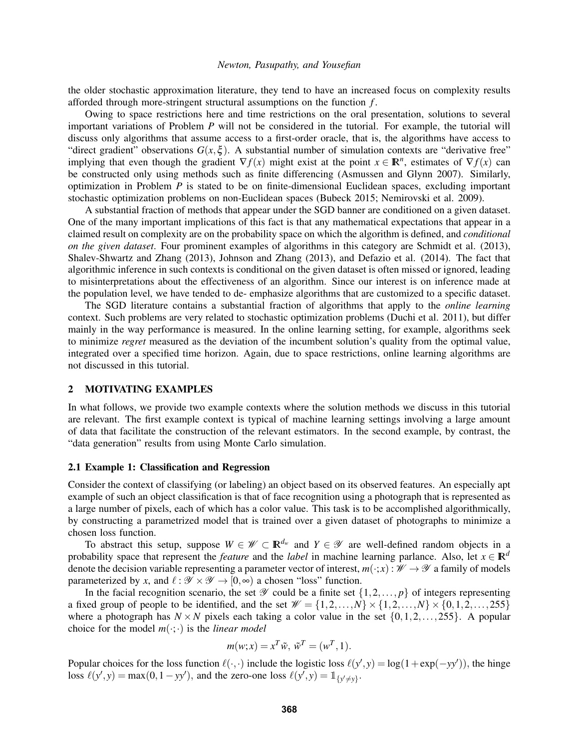the older stochastic approximation literature, they tend to have an increased focus on complexity results afforded through more-stringent structural assumptions on the function *f* .

Owing to space restrictions here and time restrictions on the oral presentation, solutions to several important variations of Problem *P* will not be considered in the tutorial. For example, the tutorial will discuss only algorithms that assume access to a first-order oracle, that is, the algorithms have access to "direct gradient" observations  $G(x, \xi)$ . A substantial number of simulation contexts are "derivative free" implying that even though the gradient  $\nabla f(x)$  might exist at the point  $x \in \mathbb{R}^n$ , estimates of  $\nabla f(x)$  can be constructed only using methods such as finite differencing (Asmussen and Glynn 2007). Similarly, optimization in Problem *P* is stated to be on finite-dimensional Euclidean spaces, excluding important stochastic optimization problems on non-Euclidean spaces (Bubeck 2015; Nemirovski et al. 2009).

A substantial fraction of methods that appear under the SGD banner are conditioned on a given dataset. One of the many important implications of this fact is that any mathematical expectations that appear in a claimed result on complexity are on the probability space on which the algorithm is defined, and *conditional on the given dataset*. Four prominent examples of algorithms in this category are Schmidt et al. (2013), Shalev-Shwartz and Zhang (2013), Johnson and Zhang (2013), and Defazio et al. (2014). The fact that algorithmic inference in such contexts is conditional on the given dataset is often missed or ignored, leading to misinterpretations about the effectiveness of an algorithm. Since our interest is on inference made at the population level, we have tended to de- emphasize algorithms that are customized to a specific dataset.

The SGD literature contains a substantial fraction of algorithms that apply to the *online learning* context. Such problems are very related to stochastic optimization problems (Duchi et al. 2011), but differ mainly in the way performance is measured. In the online learning setting, for example, algorithms seek to minimize *regret* measured as the deviation of the incumbent solution's quality from the optimal value, integrated over a specified time horizon. Again, due to space restrictions, online learning algorithms are not discussed in this tutorial.

# 2 MOTIVATING EXAMPLES

In what follows, we provide two example contexts where the solution methods we discuss in this tutorial are relevant. The first example context is typical of machine learning settings involving a large amount of data that facilitate the construction of the relevant estimators. In the second example, by contrast, the "data generation" results from using Monte Carlo simulation.

#### 2.1 Example 1: Classification and Regression

Consider the context of classifying (or labeling) an object based on its observed features. An especially apt example of such an object classification is that of face recognition using a photograph that is represented as a large number of pixels, each of which has a color value. This task is to be accomplished algorithmically, by constructing a parametrized model that is trained over a given dataset of photographs to minimize a chosen loss function.

To abstract this setup, suppose  $W \in \mathcal{W} \subset \mathbb{R}^{d_w}$  and  $Y \in \mathcal{Y}$  are well-defined random objects in a probability space that represent the *feature* and the *label* in machine learning parlance. Also, let  $x \in \mathbb{R}^d$ denote the decision variable representing a parameter vector of interest,  $m(\cdot;x): \mathcal{W} \to \mathcal{Y}$  a family of models parameterized by *x*, and  $\ell : \mathcal{Y} \times \mathcal{Y} \to [0, \infty)$  a chosen "loss" function.

In the facial recognition scenario, the set  $\mathscr Y$  could be a finite set  $\{1,2,\ldots,p\}$  of integers representing a fixed group of people to be identified, and the set  $\mathcal{W} = \{1, 2, \ldots, N\} \times \{1, 2, \ldots, N\} \times \{0, 1, 2, \ldots, 255\}$ where a photograph has  $N \times N$  pixels each taking a color value in the set  $\{0,1,2,\ldots,255\}$ . A popular choice for the model  $m(\cdot;\cdot)$  is the *linear model* 

$$
m(w; x) = x^T \tilde{w}, \tilde{w}^T = (w^T, 1).
$$

Popular choices for the loss function  $\ell(\cdot,\cdot)$  include the logistic loss  $\ell(y',y) = \log(1 + \exp(-yy'))$ , the hinge loss  $\ell(y', y) = \max(0, 1 - yy')$ , and the zero-one loss  $\ell(y', y) = \mathbb{1}_{\{y' \neq y\}}$ .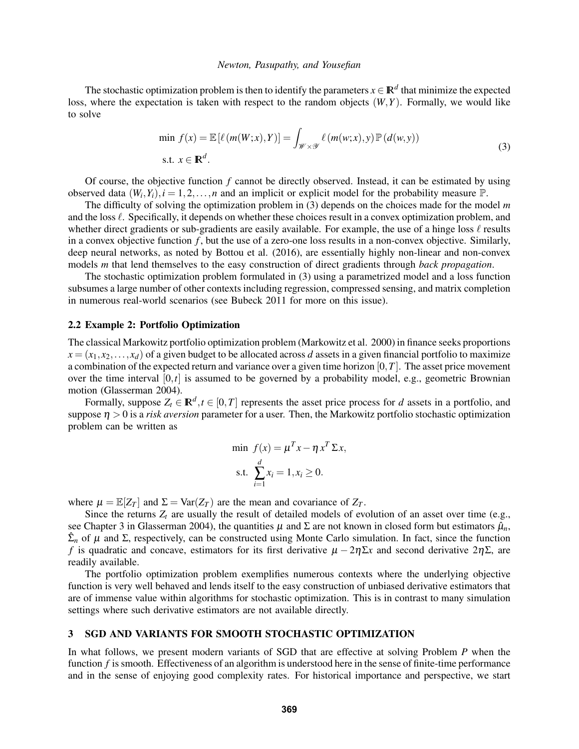The stochastic optimization problem is then to identify the parameters  $x \in \mathbb{R}^d$  that minimize the expected loss, where the expectation is taken with respect to the random objects (*W*,*Y*). Formally, we would like to solve

$$
\min f(x) = \mathbb{E}\left[\ell\left(m(W;x),Y\right)\right] = \int_{\mathscr{W}\times\mathscr{Y}} \ell\left(m(w;x),y\right) \mathbb{P}\left(d(w,y)\right)
$$
\n
$$
\text{s.t. } x \in \mathbb{R}^d. \tag{3}
$$

Of course, the objective function *f* cannot be directly observed. Instead, it can be estimated by using observed data  $(W_i, Y_i)$ ,  $i = 1, 2, ..., n$  and an implicit or explicit model for the probability measure  $\mathbb{P}$ .

The difficulty of solving the optimization problem in (3) depends on the choices made for the model *m* and the loss  $\ell$ . Specifically, it depends on whether these choices result in a convex optimization problem, and whether direct gradients or sub-gradients are easily available. For example, the use of a hinge loss  $\ell$  results in a convex objective function  $f$ , but the use of a zero-one loss results in a non-convex objective. Similarly, deep neural networks, as noted by Bottou et al. (2016), are essentially highly non-linear and non-convex models *m* that lend themselves to the easy construction of direct gradients through *back propagation*.

The stochastic optimization problem formulated in (3) using a parametrized model and a loss function subsumes a large number of other contexts including regression, compressed sensing, and matrix completion in numerous real-world scenarios (see Bubeck 2011 for more on this issue).

### 2.2 Example 2: Portfolio Optimization

The classical Markowitz portfolio optimization problem (Markowitz et al. 2000) in finance seeks proportions  $x = (x_1, x_2, \ldots, x_d)$  of a given budget to be allocated across *d* assets in a given financial portfolio to maximize a combination of the expected return and variance over a given time horizon [0,*T*]. The asset price movement over the time interval [0,*t*] is assumed to be governed by a probability model, e.g., geometric Brownian motion (Glasserman 2004).

Formally, suppose  $Z_t \in \mathbb{R}^d, t \in [0, T]$  represents the asset price process for *d* assets in a portfolio, and suppose  $\eta > 0$  is a *risk aversion* parameter for a user. Then, the Markowitz portfolio stochastic optimization problem can be written as

$$
\min f(x) = \mu^T x - \eta x^T \Sigma x,
$$
  
s.t. 
$$
\sum_{i=1}^d x_i = 1, x_i \ge 0.
$$

where  $\mu = \mathbb{E}[Z_T]$  and  $\Sigma = \text{Var}(Z_T)$  are the mean and covariance of  $Z_T$ .

Since the returns  $Z_t$  are usually the result of detailed models of evolution of an asset over time (e.g., see Chapter 3 in Glasserman 2004), the quantities  $\mu$  and  $\Sigma$  are not known in closed form but estimators  $\hat{\mu}_n$ ,  $\hat{\Sigma}_n$  of  $\mu$  and  $\Sigma$ , respectively, can be constructed using Monte Carlo simulation. In fact, since the function *f* is quadratic and concave, estimators for its first derivative  $\mu - 2\eta \Sigma x$  and second derivative  $2\eta \Sigma$ , are readily available.

The portfolio optimization problem exemplifies numerous contexts where the underlying objective function is very well behaved and lends itself to the easy construction of unbiased derivative estimators that are of immense value within algorithms for stochastic optimization. This is in contrast to many simulation settings where such derivative estimators are not available directly.

# 3 SGD AND VARIANTS FOR SMOOTH STOCHASTIC OPTIMIZATION

In what follows, we present modern variants of SGD that are effective at solving Problem *P* when the function *f* is smooth. Effectiveness of an algorithm is understood here in the sense of finite-time performance and in the sense of enjoying good complexity rates. For historical importance and perspective, we start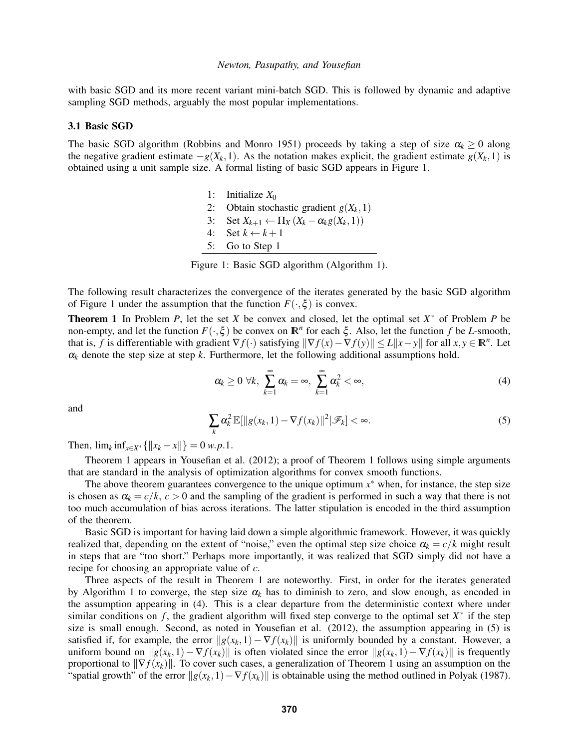with basic SGD and its more recent variant mini-batch SGD. This is followed by dynamic and adaptive sampling SGD methods, arguably the most popular implementations.

#### 3.1 Basic SGD

The basic SGD algorithm (Robbins and Monro 1951) proceeds by taking a step of size  $\alpha_k \geq 0$  along the negative gradient estimate  $-g(X_k, 1)$ . As the notation makes explicit, the gradient estimate  $g(X_k, 1)$  is obtained using a unit sample size. A formal listing of basic SGD appears in Figure 1.

> 1: Initialize  $X_0$ 2: Obtain stochastic gradient  $g(X_k, 1)$ 3: Set  $X_{k+1} \leftarrow \prod_X (X_k - \alpha_k g(X_k, 1))$ 4: Set  $k \leftarrow k+1$ 5: Go to Step 1

Figure 1: Basic SGD algorithm (Algorithm 1).

The following result characterizes the convergence of the iterates generated by the basic SGD algorithm of Figure 1 under the assumption that the function  $F(\cdot,\xi)$  is convex.

**Theorem 1** In Problem *P*, let the set *X* be convex and closed, let the optimal set  $X^*$  of Problem *P* be non-empty, and let the function  $F(\cdot,\xi)$  be convex on  $\mathbb{R}^n$  for each  $\xi$ . Also, let the function  $f$  be *L*-smooth, that is, *f* is differentiable with gradient  $\nabla f(\cdot)$  satisfying  $\|\nabla f(x) - \nabla f(y)\| \le L\|x - y\|$  for all  $x, y \in \mathbb{R}^n$ . Let  $\alpha_k$  denote the step size at step *k*. Furthermore, let the following additional assumptions hold.

$$
\alpha_k \geq 0 \ \forall k, \ \sum_{k=1}^{\infty} \alpha_k = \infty, \ \sum_{k=1}^{\infty} \alpha_k^2 < \infty,
$$
\n
$$
\tag{4}
$$

and

$$
\sum_{k} \alpha_k^2 \mathbb{E}[\|g(x_k, 1) - \nabla f(x_k)\|^2 | \mathcal{F}_k] < \infty. \tag{5}
$$

Then,  $\lim_{k \to \infty} \inf_{x \in X^*} {\|x_k - x\|} = 0$  *w.p.*1.

Theorem 1 appears in Yousefian et al. (2012); a proof of Theorem 1 follows using simple arguments that are standard in the analysis of optimization algorithms for convex smooth functions.

The above theorem guarantees convergence to the unique optimum  $x^*$  when, for instance, the step size is chosen as  $\alpha_k = c/k$ ,  $c > 0$  and the sampling of the gradient is performed in such a way that there is not too much accumulation of bias across iterations. The latter stipulation is encoded in the third assumption of the theorem.

Basic SGD is important for having laid down a simple algorithmic framework. However, it was quickly realized that, depending on the extent of "noise," even the optimal step size choice  $\alpha_k = c/k$  might result in steps that are "too short." Perhaps more importantly, it was realized that SGD simply did not have a recipe for choosing an appropriate value of *c*.

Three aspects of the result in Theorem 1 are noteworthy. First, in order for the iterates generated by Algorithm 1 to converge, the step size  $\alpha_k$  has to diminish to zero, and slow enough, as encoded in the assumption appearing in (4). This is a clear departure from the deterministic context where under similar conditions on  $f$ , the gradient algorithm will fixed step converge to the optimal set  $X^*$  if the step size is small enough. Second, as noted in Yousefian et al. (2012), the assumption appearing in (5) is satisfied if, for example, the error  $||g(x_k,1) - \nabla f(x_k)||$  is uniformly bounded by a constant. However, a uniform bound on  $\|g(x_k,1)-\nabla f(x_k)\|$  is often violated since the error  $\|g(x_k,1)-\nabla f(x_k)\|$  is frequently proportional to  $\|\nabla f(x_k)\|$ . To cover such cases, a generalization of Theorem 1 using an assumption on the "spatial growth" of the error  $||g(x_k,1)-\nabla f(x_k)||$  is obtainable using the method outlined in Polyak (1987).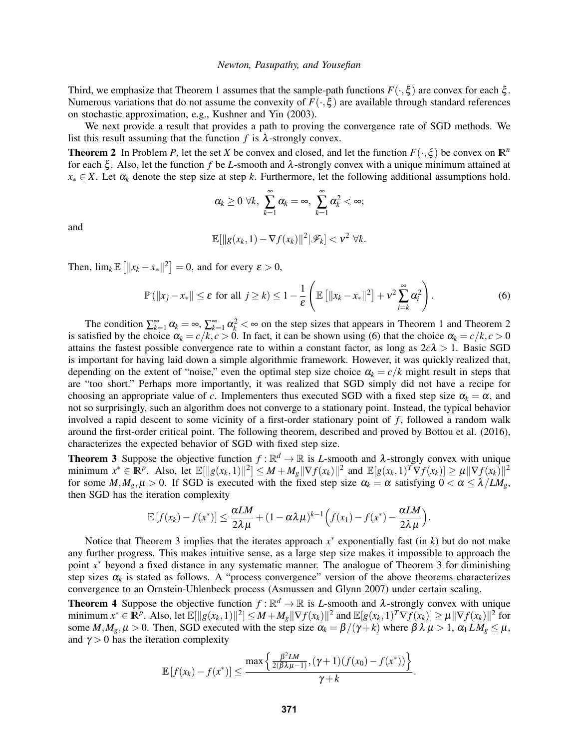Third, we emphasize that Theorem 1 assumes that the sample-path functions  $F(\cdot,\xi)$  are convex for each  $\xi$ . Numerous variations that do not assume the convexity of  $F(\cdot,\xi)$  are available through standard references on stochastic approximation, e.g., Kushner and Yin (2003).

We next provide a result that provides a path to proving the convergence rate of SGD methods. We list this result assuming that the function  $f$  is  $\lambda$ -strongly convex.

**Theorem 2** In Problem *P*, let the set *X* be convex and closed, and let the function  $F(\cdot,\xi)$  be convex on  $\mathbb{R}^n$ for each  $\xi$ . Also, let the function f be *L*-smooth and  $\lambda$ -strongly convex with a unique minimum attained at  $x_* \in X$ . Let  $\alpha_k$  denote the step size at step *k*. Furthermore, let the following additional assumptions hold.

$$
\alpha_k \geq 0 \ \forall k, \ \sum_{k=1}^{\infty} \alpha_k = \infty, \ \sum_{k=1}^{\infty} \alpha_k^2 < \infty;
$$

and

$$
\mathbb{E}[\|g(x_k,1)-\nabla f(x_k)\|^2|\mathscr{F}_k]<\nu^2\ \forall k.
$$

Then,  $\lim_{k} \mathbb{E} \left[ ||x_k - x_*||^2 \right] = 0$ , and for every  $\varepsilon > 0$ ,

$$
\mathbb{P}(\|x_j - x_*\| \le \varepsilon \text{ for all } j \ge k) \le 1 - \frac{1}{\varepsilon} \left( \mathbb{E} \left[ \|x_k - x_*\|^2 \right] + v^2 \sum_{i=k}^{\infty} \alpha_i^2 \right). \tag{6}
$$

The condition  $\sum_{k=1}^{\infty} \alpha_k = \infty$ ,  $\sum_{k=1}^{\infty} \alpha_k^2 < \infty$  on the step sizes that appears in Theorem 1 and Theorem 2 is satisfied by the choice  $\alpha_k = c/k$ ,  $c > 0$ . In fact, it can be shown using (6) that the choice  $\alpha_k = c/k$ ,  $c > 0$ attains the fastest possible convergence rate to within a constant factor, as long as  $2c\lambda > 1$ . Basic SGD is important for having laid down a simple algorithmic framework. However, it was quickly realized that, depending on the extent of "noise," even the optimal step size choice  $\alpha_k = c/k$  might result in steps that are "too short." Perhaps more importantly, it was realized that SGD simply did not have a recipe for choosing an appropriate value of *c*. Implementers thus executed SGD with a fixed step size  $\alpha_k = \alpha$ , and not so surprisingly, such an algorithm does not converge to a stationary point. Instead, the typical behavior involved a rapid descent to some vicinity of a first-order stationary point of *f* , followed a random walk around the first-order critical point. The following theorem, described and proved by Bottou et al. (2016), characterizes the expected behavior of SGD with fixed step size.

**Theorem 3** Suppose the objective function  $f : \mathbb{R}^d \to \mathbb{R}$  is *L*-smooth and  $\lambda$ -strongly convex with unique minimum  $x^* \in \mathbb{R}^p$ . Also, let  $\mathbb{E}[\|g(x_k, 1)\|^2] \leq M + M_g \|\nabla f(x_k)\|^2$  and  $\mathbb{E}[g(x_k, 1)^T \nabla f(x_k)] \geq \mu \|\nabla f(x_k)\|^2$ for some  $M, M_g, \mu > 0$ . If SGD is executed with the fixed step size  $\alpha_k = \alpha$  satisfying  $0 < \alpha \leq \lambda / LM_g$ , then SGD has the iteration complexity

$$
\mathbb{E}\left[f(x_k)-f(x^*)\right] \leq \frac{\alpha LM}{2\lambda\mu} + (1-\alpha\lambda\mu)^{k-1}\Big(f(x_1)-f(x^*)-\frac{\alpha LM}{2\lambda\mu}\Big).
$$

Notice that Theorem 3 implies that the iterates approach  $x^*$  exponentially fast (in  $k$ ) but do not make any further progress. This makes intuitive sense, as a large step size makes it impossible to approach the point x<sup>\*</sup> beyond a fixed distance in any systematic manner. The analogue of Theorem 3 for diminishing step sizes  $\alpha_k$  is stated as follows. A "process convergence" version of the above theorems characterizes convergence to an Ornstein-Uhlenbeck process (Asmussen and Glynn 2007) under certain scaling.

**Theorem 4** Suppose the objective function  $f : \mathbb{R}^d \to \mathbb{R}$  is *L*-smooth and  $\lambda$ -strongly convex with unique minimum  $x^* \in \mathbb{R}^p$ . Also, let  $\mathbb{E}[\|g(x_k,1)\|^2] \leq M + M_g \|\nabla f(x_k)\|^2$  and  $\mathbb{E}[g(x_k,1)^T \nabla f(x_k)] \geq \mu \|\nabla f(x_k)\|^2$  for some  $M, M_g, \mu > 0$ . Then, SGD executed with the step size  $\alpha_k = \beta/(\gamma + k)$  where  $\beta \lambda \mu > 1$ ,  $\alpha_1 L M_g \leq \mu$ , and  $\gamma > 0$  has the iteration complexity

$$
\mathbb{E}\left[f(x_k)-f(x^*)\right] \leq \frac{\max\left\{\frac{\beta^2 LM}{2(\beta\lambda\mu-1)},(\gamma+1)(f(x_0)-f(x^*))\right\}}{\gamma+k}.
$$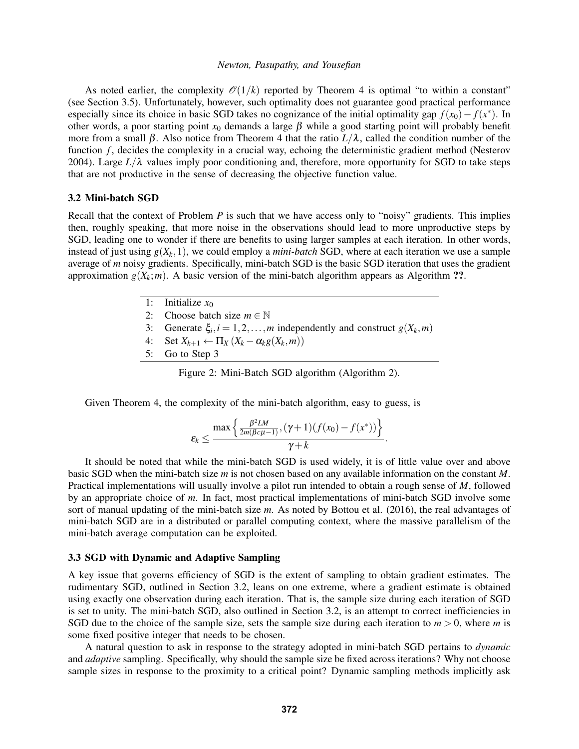As noted earlier, the complexity  $\mathcal{O}(1/k)$  reported by Theorem 4 is optimal "to within a constant" (see Section 3.5). Unfortunately, however, such optimality does not guarantee good practical performance especially since its choice in basic SGD takes no cognizance of the initial optimality gap  $f(x_0) - f(x^*)$ . In other words, a poor starting point  $x_0$  demands a large  $\beta$  while a good starting point will probably benefit more from a small β. Also notice from Theorem 4 that the ratio  $L/\lambda$ , called the condition number of the function *f*, decides the complexity in a crucial way, echoing the deterministic gradient method (Nesterov 2004). Large  $L/\lambda$  values imply poor conditioning and, therefore, more opportunity for SGD to take steps that are not productive in the sense of decreasing the objective function value.

### 3.2 Mini-batch SGD

Recall that the context of Problem *P* is such that we have access only to "noisy" gradients. This implies then, roughly speaking, that more noise in the observations should lead to more unproductive steps by SGD, leading one to wonder if there are benefits to using larger samples at each iteration. In other words, instead of just using  $g(X_k, 1)$ , we could employ a *mini-batch* SGD, where at each iteration we use a sample average of *m* noisy gradients. Specifically, mini-batch SGD is the basic SGD iteration that uses the gradient approximation  $g(X_k; m)$ . A basic version of the mini-batch algorithm appears as Algorithm ??.

- 1: Initialize  $x_0$
- 2: Choose batch size  $m \in \mathbb{N}$
- 3: Generate  $\xi_i$ ,  $i = 1, 2, ..., m$  independently and construct  $g(X_k, m)$
- 4: Set  $X_{k+1} \leftarrow \prod_X (X_k \alpha_k g(X_k, m))$
- 5: Go to Step 3

Figure 2: Mini-Batch SGD algorithm (Algorithm 2).

Given Theorem 4, the complexity of the mini-batch algorithm, easy to guess, is

$$
\varepsilon_k \leq \frac{\max\left\{\frac{\beta^2 LM}{2m(\beta c\mu-1)},(\gamma+1)(f(x_0)-f(x^*))\right\}}{\gamma+k}.
$$

It should be noted that while the mini-batch SGD is used widely, it is of little value over and above basic SGD when the mini-batch size *m* is not chosen based on any available information on the constant *M*. Practical implementations will usually involve a pilot run intended to obtain a rough sense of *M*, followed by an appropriate choice of *m*. In fact, most practical implementations of mini-batch SGD involve some sort of manual updating of the mini-batch size *m*. As noted by Bottou et al. (2016), the real advantages of mini-batch SGD are in a distributed or parallel computing context, where the massive parallelism of the mini-batch average computation can be exploited.

# 3.3 SGD with Dynamic and Adaptive Sampling

A key issue that governs efficiency of SGD is the extent of sampling to obtain gradient estimates. The rudimentary SGD, outlined in Section 3.2, leans on one extreme, where a gradient estimate is obtained using exactly one observation during each iteration. That is, the sample size during each iteration of SGD is set to unity. The mini-batch SGD, also outlined in Section 3.2, is an attempt to correct inefficiencies in SGD due to the choice of the sample size, sets the sample size during each iteration to  $m > 0$ , where m is some fixed positive integer that needs to be chosen.

A natural question to ask in response to the strategy adopted in mini-batch SGD pertains to *dynamic* and *adaptive* sampling. Specifically, why should the sample size be fixed across iterations? Why not choose sample sizes in response to the proximity to a critical point? Dynamic sampling methods implicitly ask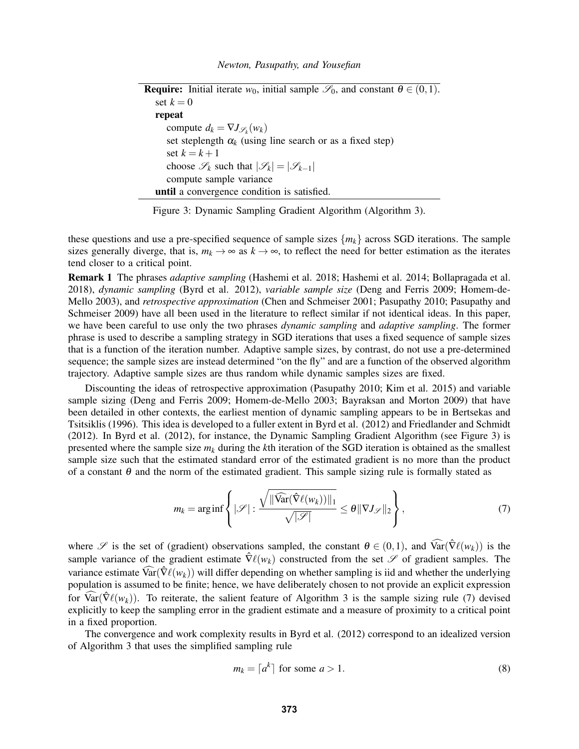**Require:** Initial iterate  $w_0$ , initial sample  $\mathscr{S}_0$ , and constant  $\theta \in (0,1)$ . set  $k = 0$ repeat compute  $d_k = \nabla J_{\mathscr{S}_k}(w_k)$ set steplength  $\alpha_k$  (using line search or as a fixed step) set  $k = k + 1$ choose  $\mathscr{S}_k$  such that  $|\mathscr{S}_k| = |\mathscr{S}_{k-1}|$ compute sample variance until a convergence condition is satisfied.

Figure 3: Dynamic Sampling Gradient Algorithm (Algorithm 3).

these questions and use a pre-specified sequence of sample sizes  ${m_k}$  across SGD iterations. The sample sizes generally diverge, that is,  $m_k \to \infty$  as  $k \to \infty$ , to reflect the need for better estimation as the iterates tend closer to a critical point.

Remark 1 The phrases *adaptive sampling* (Hashemi et al. 2018; Hashemi et al. 2014; Bollapragada et al. 2018), *dynamic sampling* (Byrd et al. 2012), *variable sample size* (Deng and Ferris 2009; Homem-de-Mello 2003), and *retrospective approximation* (Chen and Schmeiser 2001; Pasupathy 2010; Pasupathy and Schmeiser 2009) have all been used in the literature to reflect similar if not identical ideas. In this paper, we have been careful to use only the two phrases *dynamic sampling* and *adaptive sampling*. The former phrase is used to describe a sampling strategy in SGD iterations that uses a fixed sequence of sample sizes that is a function of the iteration number. Adaptive sample sizes, by contrast, do not use a pre-determined sequence; the sample sizes are instead determined "on the fly" and are a function of the observed algorithm trajectory. Adaptive sample sizes are thus random while dynamic samples sizes are fixed.

Discounting the ideas of retrospective approximation (Pasupathy 2010; Kim et al. 2015) and variable sample sizing (Deng and Ferris 2009; Homem-de-Mello 2003; Bayraksan and Morton 2009) that have been detailed in other contexts, the earliest mention of dynamic sampling appears to be in Bertsekas and Tsitsiklis (1996). This idea is developed to a fuller extent in Byrd et al. (2012) and Friedlander and Schmidt (2012). In Byrd et al. (2012), for instance, the Dynamic Sampling Gradient Algorithm (see Figure 3) is presented where the sample size *m<sup>k</sup>* during the *k*th iteration of the SGD iteration is obtained as the smallest sample size such that the estimated standard error of the estimated gradient is no more than the product of a constant  $\theta$  and the norm of the estimated gradient. This sample sizing rule is formally stated as

$$
m_k = \arg\inf \left\{ |\mathcal{S}| : \frac{\sqrt{\|\widehat{\text{Var}}(\widehat{\nabla}\ell(w_k))\|_1}}{\sqrt{|\mathcal{S}|}} \leq \theta \|\nabla J_{\mathcal{S}}\|_2 \right\},\tag{7}
$$

where S is the set of (gradient) observations sampled, the constant  $\theta \in (0,1)$ , and  $\widehat{\text{Var}}(\widehat{\nabla}\ell(w_k))$  is the sample variance of the gradient estimate  $\hat{\nabla} \ell(w_k)$  constructed from the set  $\mathscr S$  of gradient samples. The variance estimate  $\widehat{\text{Var}}(\widehat{\nabla}\ell(w_k))$  will differ depending on whether sampling is iid and whether the underlying population is assumed to be finite; hence, we have deliberately chosen to not provide an explicit expression for  $\widehat{\text{Var}}(\widehat{\nabla}\ell(w_k))$ . To reiterate, the salient feature of Algorithm 3 is the sample sizing rule (7) devised explicitly to keep the sampling error in the gradient estimate and a measure of proximity to a critical point in a fixed proportion.

The convergence and work complexity results in Byrd et al. (2012) correspond to an idealized version of Algorithm 3 that uses the simplified sampling rule

$$
m_k = \lceil a^k \rceil \text{ for some } a > 1. \tag{8}
$$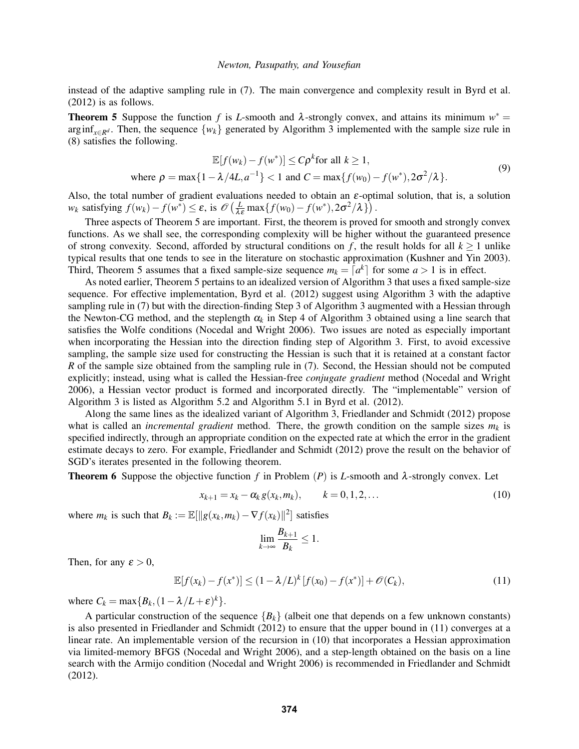instead of the adaptive sampling rule in (7). The main convergence and complexity result in Byrd et al. (2012) is as follows.

**Theorem 5** Suppose the function *f* is *L*-smooth and  $\lambda$ -strongly convex, and attains its minimum  $w^* =$  $\arg\inf_{x \in \mathbb{R}^d}$ . Then, the sequence  $\{w_k\}$  generated by Algorithm 3 implemented with the sample size rule in (8) satisfies the following.

$$
\mathbb{E}[f(w_k) - f(w^*)] \le C\rho^k \text{ for all } k \ge 1,
$$
  
where  $\rho = \max\{1 - \lambda/4L, a^{-1}\} < 1$  and  $C = \max\{f(w_0) - f(w^*), 2\sigma^2/\lambda\}.$  (9)

Also, the total number of gradient evaluations needed to obtain an  $\varepsilon$ -optimal solution, that is, a solution  $w_k$  satisfying  $f(w_k) - f(w^*) \le \varepsilon$ , is  $\mathcal{O}\left(\frac{L}{\lambda \varepsilon} \max\{f(w_0) - f(w^*), 2\sigma^2/\lambda\}\right)$ .

Three aspects of Theorem 5 are important. First, the theorem is proved for smooth and strongly convex functions. As we shall see, the corresponding complexity will be higher without the guaranteed presence of strong convexity. Second, afforded by structural conditions on  $f$ , the result holds for all  $k > 1$  unlike typical results that one tends to see in the literature on stochastic approximation (Kushner and Yin 2003). Third, Theorem 5 assumes that a fixed sample-size sequence  $m_k = \lceil a^k \rceil$  for some  $a > 1$  is in effect.

As noted earlier, Theorem 5 pertains to an idealized version of Algorithm 3 that uses a fixed sample-size sequence. For effective implementation, Byrd et al. (2012) suggest using Algorithm 3 with the adaptive sampling rule in (7) but with the direction-finding Step 3 of Algorithm 3 augmented with a Hessian through the Newton-CG method, and the steplength  $\alpha_k$  in Step 4 of Algorithm 3 obtained using a line search that satisfies the Wolfe conditions (Nocedal and Wright 2006). Two issues are noted as especially important when incorporating the Hessian into the direction finding step of Algorithm 3. First, to avoid excessive sampling, the sample size used for constructing the Hessian is such that it is retained at a constant factor *R* of the sample size obtained from the sampling rule in (7). Second, the Hessian should not be computed explicitly; instead, using what is called the Hessian-free *conjugate gradient* method (Nocedal and Wright 2006), a Hessian vector product is formed and incorporated directly. The "implementable" version of Algorithm 3 is listed as Algorithm 5.2 and Algorithm 5.1 in Byrd et al. (2012).

Along the same lines as the idealized variant of Algorithm 3, Friedlander and Schmidt (2012) propose what is called an *incremental gradient* method. There, the growth condition on the sample sizes  $m_k$  is specified indirectly, through an appropriate condition on the expected rate at which the error in the gradient estimate decays to zero. For example, Friedlander and Schmidt (2012) prove the result on the behavior of SGD's iterates presented in the following theorem.

**Theorem 6** Suppose the objective function *f* in Problem (*P*) is *L*-smooth and  $\lambda$ -strongly convex. Let

$$
x_{k+1} = x_k - \alpha_k g(x_k, m_k), \qquad k = 0, 1, 2, \dots
$$
 (10)

where  $m_k$  is such that  $B_k := \mathbb{E}[\Vert g(x_k, m_k) - \nabla f(x_k) \Vert^2]$  satisfies

$$
\lim_{k\to\infty}\frac{B_{k+1}}{B_k}\leq 1.
$$

Then, for any  $\varepsilon > 0$ ,

$$
\mathbb{E}[f(x_k) - f(x^*)] \le (1 - \lambda/L)^k [f(x_0) - f(x^*)] + \mathcal{O}(C_k),
$$
\n(11)

where  $C_k = \max\{B_k, (1 - \lambda/L + \varepsilon)^k\}.$ 

A particular construction of the sequence  ${B_k}$  (albeit one that depends on a few unknown constants) is also presented in Friedlander and Schmidt (2012) to ensure that the upper bound in (11) converges at a linear rate. An implementable version of the recursion in (10) that incorporates a Hessian approximation via limited-memory BFGS (Nocedal and Wright 2006), and a step-length obtained on the basis on a line search with the Armijo condition (Nocedal and Wright 2006) is recommended in Friedlander and Schmidt (2012).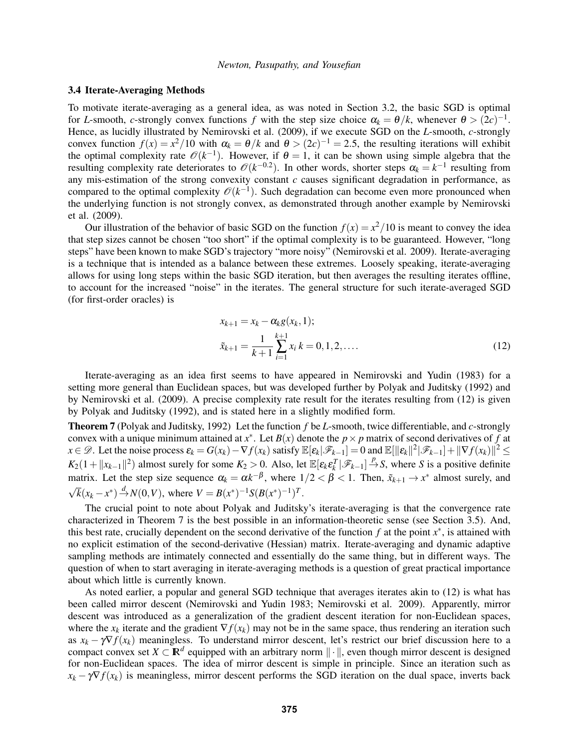### 3.4 Iterate-Averaging Methods

To motivate iterate-averaging as a general idea, as was noted in Section 3.2, the basic SGD is optimal for *L*-smooth, *c*-strongly convex functions *f* with the step size choice  $\alpha_k = \theta/k$ , whenever  $\theta > (2c)^{-1}$ . Hence, as lucidly illustrated by Nemirovski et al. (2009), if we execute SGD on the *L*-smooth, *c*-strongly convex function  $f(x) = x^2/10$  with  $\alpha_k = \theta/k$  and  $\theta > (2c)^{-1} = 2.5$ , the resulting iterations will exhibit the optimal complexity rate  $\mathcal{O}(k^{-1})$ . However, if  $\theta = 1$ , it can be shown using simple algebra that the resulting complexity rate deteriorates to  $\mathcal{O}(k^{-0.2})$ . In other words, shorter steps  $\alpha_k = k^{-1}$  resulting from any mis-estimation of the strong convexity constant *c* causes significant degradation in performance, as compared to the optimal complexity  $\mathcal{O}(k^{-1})$ . Such degradation can become even more pronounced when the underlying function is not strongly convex, as demonstrated through another example by Nemirovski et al. (2009).

Our illustration of the behavior of basic SGD on the function  $f(x) = x^2/10$  is meant to convey the idea that step sizes cannot be chosen "too short" if the optimal complexity is to be guaranteed. However, "long steps" have been known to make SGD's trajectory "more noisy" (Nemirovski et al. 2009). Iterate-averaging is a technique that is intended as a balance between these extremes. Loosely speaking, iterate-averaging allows for using long steps within the basic SGD iteration, but then averages the resulting iterates offline, to account for the increased "noise" in the iterates. The general structure for such iterate-averaged SGD (for first-order oracles) is

$$
x_{k+1} = x_k - \alpha_k g(x_k, 1);
$$
  

$$
\tilde{x}_{k+1} = \frac{1}{k+1} \sum_{i=1}^{k+1} x_i k = 0, 1, 2, ....
$$
 (12)

Iterate-averaging as an idea first seems to have appeared in Nemirovski and Yudin (1983) for a setting more general than Euclidean spaces, but was developed further by Polyak and Juditsky (1992) and by Nemirovski et al. (2009). A precise complexity rate result for the iterates resulting from (12) is given by Polyak and Juditsky (1992), and is stated here in a slightly modified form.

Theorem 7 (Polyak and Juditsky, 1992) Let the function *f* be *L*-smooth, twice differentiable, and *c*-strongly convex with a unique minimum attained at  $x^*$ . Let  $B(x)$  denote the  $p \times p$  matrix of second derivatives of  $f$  at  $x \in \mathscr{D}$ . Let the noise process  $\mathbf{\varepsilon}_k = G(x_k) - \nabla f(x_k)$  satisfy  $\mathbb{E}[\varepsilon_k|\mathscr{F}_{k-1}] = 0$  and  $\mathbb{E}[\|\varepsilon_k\|^2|\mathscr{F}_{k-1}] + \|\nabla f(x_k)\|^2 \le$  $K_2(1 + ||x_{k-1}||^2)$  almost surely for some  $K_2 > 0$ . Also, let  $\mathbb{E}[\varepsilon_k \varepsilon_k^T | \mathscr{F}_{k-1}] \stackrel{p}{\to} S$ , where *S* is a positive definite matrix. Let the step size sequence  $\alpha_k = \alpha k^{-\beta}$ , where  $1/2 < \beta < 1$ . Then,  $\tilde{x}_{k+1} \to x^*$  almost surely, and √  $\overline{k}(x_k - x^*) \stackrel{d}{\rightarrow} N(0, V)$ , where  $V = B(x^*)^{-1}S(B(x^*)^{-1})^T$ .

The crucial point to note about Polyak and Juditsky's iterate-averaging is that the convergence rate characterized in Theorem 7 is the best possible in an information-theoretic sense (see Section 3.5). And, this best rate, crucially dependent on the second derivative of the function  $f$  at the point  $x^*$ , is attained with no explicit estimation of the second-derivative (Hessian) matrix. Iterate-averaging and dynamic adaptive sampling methods are intimately connected and essentially do the same thing, but in different ways. The question of when to start averaging in iterate-averaging methods is a question of great practical importance about which little is currently known.

As noted earlier, a popular and general SGD technique that averages iterates akin to (12) is what has been called mirror descent (Nemirovski and Yudin 1983; Nemirovski et al. 2009). Apparently, mirror descent was introduced as a generalization of the gradient descent iteration for non-Euclidean spaces, where the  $x_k$  iterate and the gradient  $\nabla f(x_k)$  may not be in the same space, thus rendering an iteration such as  $x_k - \gamma \nabla f(x_k)$  meaningless. To understand mirror descent, let's restrict our brief discussion here to a compact convex set  $X \subset \mathbb{R}^d$  equipped with an arbitrary norm  $\|\cdot\|$ , even though mirror descent is designed for non-Euclidean spaces. The idea of mirror descent is simple in principle. Since an iteration such as  $x_k - \gamma \nabla f(x_k)$  is meaningless, mirror descent performs the SGD iteration on the dual space, inverts back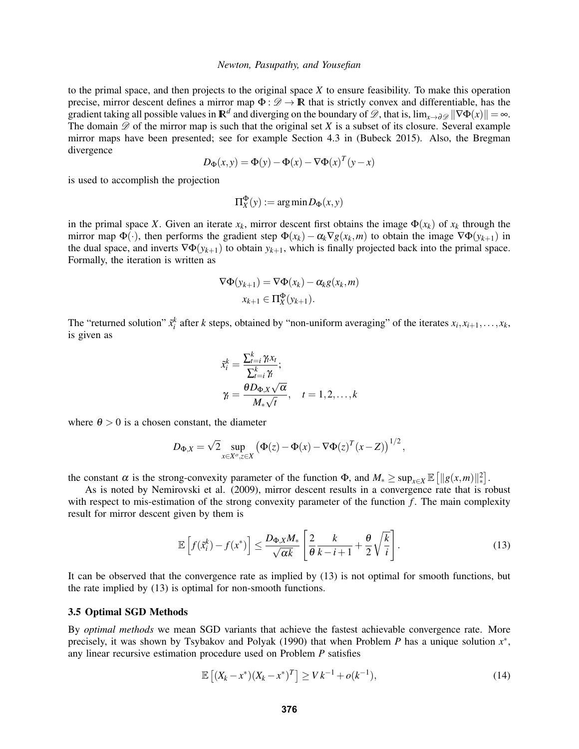to the primal space, and then projects to the original space *X* to ensure feasibility. To make this operation precise, mirror descent defines a mirror map  $\Phi : \mathscr{D} \to \mathbb{R}$  that is strictly convex and differentiable, has the gradient taking all possible values in  $\mathbb{R}^d$  and diverging on the boundary of  $\mathscr{D}$ , that is,  $\lim_{x\to\partial\mathscr{D}}||\nabla\Phi(x)|| = \infty$ . The domain  $\mathscr{D}$  of the mirror map is such that the original set *X* is a subset of its closure. Several example mirror maps have been presented; see for example Section 4.3 in (Bubeck 2015). Also, the Bregman divergence

$$
D_{\Phi}(x, y) = \Phi(y) - \Phi(x) - \nabla \Phi(x)^{T} (y - x)
$$

is used to accomplish the projection

$$
\Pi_X^{\Phi}(y) := \arg\min D_{\Phi}(x, y)
$$

in the primal space *X*. Given an iterate  $x_k$ , mirror descent first obtains the image  $\Phi(x_k)$  of  $x_k$  through the mirror map  $\Phi(\cdot)$ , then performs the gradient step  $\Phi(x_k) - \alpha_k \nabla g(x_k, m)$  to obtain the image  $\nabla \Phi(y_{k+1})$  in the dual space, and inverts  $\nabla \Phi(y_{k+1})$  to obtain  $y_{k+1}$ , which is finally projected back into the primal space. Formally, the iteration is written as

$$
\nabla \Phi(y_{k+1}) = \nabla \Phi(x_k) - \alpha_k g(x_k, m)
$$

$$
x_{k+1} \in \Pi_X^{\Phi}(y_{k+1}).
$$

The "returned solution"  $\tilde{x}_i^k$  after *k* steps, obtained by "non-uniform averaging" of the iterates  $x_i, x_{i+1}, \ldots, x_k$ , is given as

$$
\tilde{x}_i^k = \frac{\sum_{t=i}^k \gamma_t x_t}{\sum_{t=i}^k \gamma_t};
$$
\n
$$
\gamma_t = \frac{\theta D_{\Phi, X} \sqrt{\alpha}}{M_* \sqrt{t}}, \quad t = 1, 2, \dots, k
$$

where  $\theta > 0$  is a chosen constant, the diameter

$$
D_{\Phi,X} = \sqrt{2} \sup_{x \in X^o, z \in X} \left( \Phi(z) - \Phi(x) - \nabla \Phi(z)^T (x - Z) \right)^{1/2},
$$

the constant  $\alpha$  is the strong-convexity parameter of the function  $\Phi$ , and  $M_* \ge \sup_{x \in X} \mathbb{E} \left[ ||g(x, m)||_*^2 \right]$ .

As is noted by Nemirovski et al. (2009), mirror descent results in a convergence rate that is robust with respect to mis-estimation of the strong convexity parameter of the function *f*. The main complexity result for mirror descent given by them is

$$
\mathbb{E}\left[f(\tilde{x}_i^k) - f(x^*)\right] \le \frac{D_{\Phi,X}M_*}{\sqrt{\alpha k}} \left[\frac{2}{\theta}\frac{k}{k-i+1} + \frac{\theta}{2}\sqrt{\frac{k}{i}}\right].\tag{13}
$$

It can be observed that the convergence rate as implied by (13) is not optimal for smooth functions, but the rate implied by (13) is optimal for non-smooth functions.

### 3.5 Optimal SGD Methods

By *optimal methods* we mean SGD variants that achieve the fastest achievable convergence rate. More precisely, it was shown by Tsybakov and Polyak (1990) that when Problem *P* has a unique solution  $x^*$ , any linear recursive estimation procedure used on Problem *P* satisfies

$$
\mathbb{E}\left[ (X_k - x^*)(X_k - x^*)^T \right] \ge V k^{-1} + o(k^{-1}),\tag{14}
$$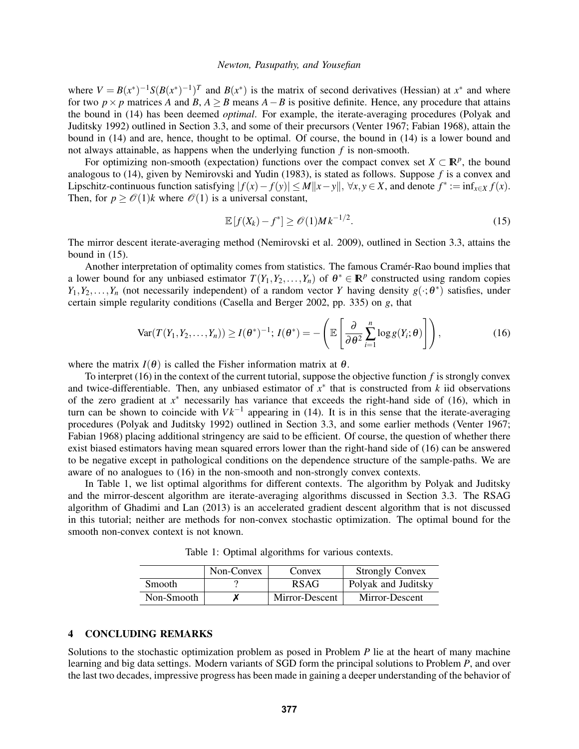where  $V = B(x^*)^{-1}S(B(x^*)^{-1})^T$  and  $B(x^*)$  is the matrix of second derivatives (Hessian) at  $x^*$  and where for two  $p \times p$  matrices *A* and *B*,  $A \geq B$  means  $A - B$  is positive definite. Hence, any procedure that attains the bound in (14) has been deemed *optimal*. For example, the iterate-averaging procedures (Polyak and Juditsky 1992) outlined in Section 3.3, and some of their precursors (Venter 1967; Fabian 1968), attain the bound in (14) and are, hence, thought to be optimal. Of course, the bound in (14) is a lower bound and not always attainable, as happens when the underlying function *f* is non-smooth.

For optimizing non-smooth (expectation) functions over the compact convex set  $X \subset \mathbb{R}^p$ , the bound analogous to (14), given by Nemirovski and Yudin (1983), is stated as follows. Suppose *f* is a convex and Lipschitz-continuous function satisfying  $|f(x) - f(y)| \le M ||x - y||$ ,  $\forall x, y \in X$ , and denote  $f^* := \inf_{x \in X} f(x)$ . Then, for  $p \geq \mathcal{O}(1)k$  where  $\mathcal{O}(1)$  is a universal constant,

$$
\mathbb{E}\left[f(X_k)-f^*\right] \ge \mathcal{O}(1)Mk^{-1/2}.\tag{15}
$$

The mirror descent iterate-averaging method (Nemirovski et al. 2009), outlined in Section 3.3, attains the bound in (15).

Another interpretation of optimality comes from statistics. The famous Cramer-Rao bound implies that ´ a lower bound for any unbiased estimator  $T(Y_1, Y_2, ..., Y_n)$  of  $\theta^* \in \mathbb{R}^p$  constructed using random copies  $Y_1, Y_2, \ldots, Y_n$  (not necessarily independent) of a random vector *Y* having density  $g(\cdot; \theta^*)$  satisfies, under certain simple regularity conditions (Casella and Berger 2002, pp. 335) on *g*, that

$$
\text{Var}(T(Y_1, Y_2, \dots, Y_n)) \ge I(\theta^*)^{-1}; \ I(\theta^*) = -\left(\mathbb{E}\left[\frac{\partial}{\partial \theta^2} \sum_{i=1}^n \log g(Y_i; \theta)\right]\right),\tag{16}
$$

where the matrix  $I(\theta)$  is called the Fisher information matrix at  $\theta$ .

To interpret (16) in the context of the current tutorial, suppose the objective function *f* is strongly convex and twice-differentiable. Then, any unbiased estimator of  $x^*$  that is constructed from  $k$  iid observations of the zero gradient at *x* <sup>∗</sup> necessarily has variance that exceeds the right-hand side of (16), which in turn can be shown to coincide with  $V k^{-1}$  appearing in (14). It is in this sense that the iterate-averaging procedures (Polyak and Juditsky 1992) outlined in Section 3.3, and some earlier methods (Venter 1967; Fabian 1968) placing additional stringency are said to be efficient. Of course, the question of whether there exist biased estimators having mean squared errors lower than the right-hand side of (16) can be answered to be negative except in pathological conditions on the dependence structure of the sample-paths. We are aware of no analogues to (16) in the non-smooth and non-strongly convex contexts.

In Table 1, we list optimal algorithms for different contexts. The algorithm by Polyak and Juditsky and the mirror-descent algorithm are iterate-averaging algorithms discussed in Section 3.3. The RSAG algorithm of Ghadimi and Lan (2013) is an accelerated gradient descent algorithm that is not discussed in this tutorial; neither are methods for non-convex stochastic optimization. The optimal bound for the smooth non-convex context is not known.

Table 1: Optimal algorithms for various contexts.

|               | Non-Convex | Convex         | <b>Strongly Convex</b> |
|---------------|------------|----------------|------------------------|
| <b>Smooth</b> |            | <b>RSAG</b>    | Polyak and Juditsky    |
| Non-Smooth    |            | Mirror-Descent | Mirror-Descent         |

### 4 CONCLUDING REMARKS

Solutions to the stochastic optimization problem as posed in Problem *P* lie at the heart of many machine learning and big data settings. Modern variants of SGD form the principal solutions to Problem *P*, and over the last two decades, impressive progress has been made in gaining a deeper understanding of the behavior of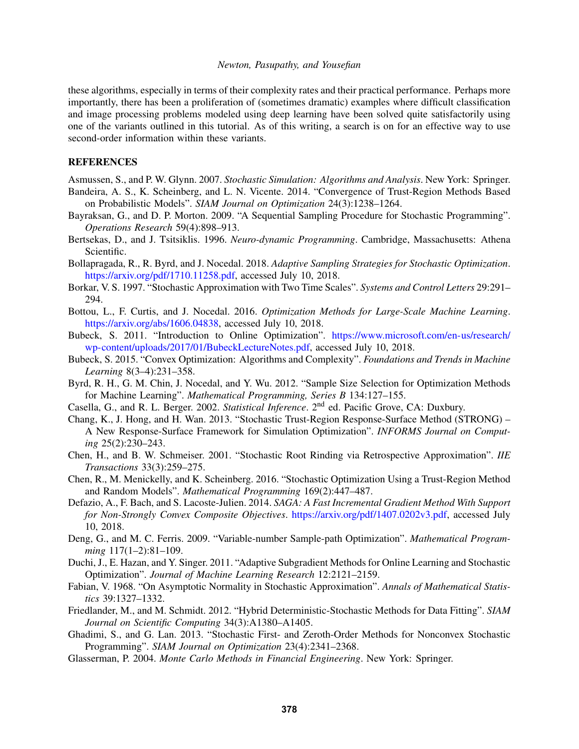these algorithms, especially in terms of their complexity rates and their practical performance. Perhaps more importantly, there has been a proliferation of (sometimes dramatic) examples where difficult classification and image processing problems modeled using deep learning have been solved quite satisfactorily using one of the variants outlined in this tutorial. As of this writing, a search is on for an effective way to use second-order information within these variants.

## **REFERENCES**

Asmussen, S., and P. W. Glynn. 2007. *Stochastic Simulation: Algorithms and Analysis*. New York: Springer. Bandeira, A. S., K. Scheinberg, and L. N. Vicente. 2014. "Convergence of Trust-Region Methods Based

- on Probabilistic Models". *SIAM Journal on Optimization* 24(3):1238–1264.
- Bayraksan, G., and D. P. Morton. 2009. "A Sequential Sampling Procedure for Stochastic Programming". *Operations Research* 59(4):898–913.
- Bertsekas, D., and J. Tsitsiklis. 1996. *Neuro-dynamic Programming*. Cambridge, Massachusetts: Athena Scientific.
- Bollapragada, R., R. Byrd, and J. Nocedal. 2018. *Adaptive Sampling Strategies for Stochastic Optimization*. https://arxiv.org/pdf/1710.11258.pdf, accessed July 10, 2018.
- Borkar, V. S. 1997. "Stochastic Approximation with Two Time Scales". *Systems and Control Letters* 29:291– 294.
- Bottou, L., F. Curtis, and J. Nocedal. 2016. *Optimization Methods for Large-Scale Machine Learning*. https://arxiv.org/abs/1606.04838, accessed July 10, 2018.
- Bubeck, S. 2011. "Introduction to Online Optimization". https://www.microsoft.com/en-us/research/ wp-content/uploads/2017/01/BubeckLectureNotes.pdf, accessed July 10, 2018.
- Bubeck, S. 2015. "Convex Optimization: Algorithms and Complexity". *Foundations and Trends in Machine Learning* 8(3–4):231–358.
- Byrd, R. H., G. M. Chin, J. Nocedal, and Y. Wu. 2012. "Sample Size Selection for Optimization Methods for Machine Learning". *Mathematical Programming, Series B* 134:127–155.
- Casella, G., and R. L. Berger. 2002. *Statistical Inference*. 2nd ed. Pacific Grove, CA: Duxbury.
- Chang, K., J. Hong, and H. Wan. 2013. "Stochastic Trust-Region Response-Surface Method (STRONG) A New Response-Surface Framework for Simulation Optimization". *INFORMS Journal on Computing* 25(2):230–243.
- Chen, H., and B. W. Schmeiser. 2001. "Stochastic Root Rinding via Retrospective Approximation". *IIE Transactions* 33(3):259–275.
- Chen, R., M. Menickelly, and K. Scheinberg. 2016. "Stochastic Optimization Using a Trust-Region Method and Random Models". *Mathematical Programming* 169(2):447–487.
- Defazio, A., F. Bach, and S. Lacoste-Julien. 2014. *SAGA: A Fast Incremental Gradient Method With Support for Non-Strongly Convex Composite Objectives*. https://arxiv.org/pdf/1407.0202v3.pdf, accessed July 10, 2018.
- Deng, G., and M. C. Ferris. 2009. "Variable-number Sample-path Optimization". *Mathematical Programming* 117(1–2):81–109.
- Duchi, J., E. Hazan, and Y. Singer. 2011. "Adaptive Subgradient Methods for Online Learning and Stochastic Optimization". *Journal of Machine Learning Research* 12:2121–2159.
- Fabian, V. 1968. "On Asymptotic Normality in Stochastic Approximation". *Annals of Mathematical Statistics* 39:1327–1332.
- Friedlander, M., and M. Schmidt. 2012. "Hybrid Deterministic-Stochastic Methods for Data Fitting". *SIAM Journal on Scientific Computing* 34(3):A1380–A1405.
- Ghadimi, S., and G. Lan. 2013. "Stochastic First- and Zeroth-Order Methods for Nonconvex Stochastic Programming". *SIAM Journal on Optimization* 23(4):2341–2368.
- Glasserman, P. 2004. *Monte Carlo Methods in Financial Engineering*. New York: Springer.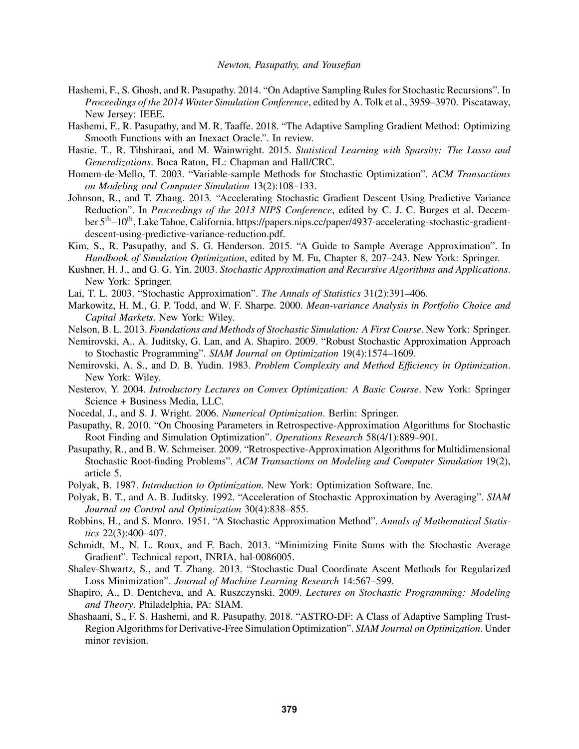- Hashemi, F., S. Ghosh, and R. Pasupathy. 2014. "On Adaptive Sampling Rules for Stochastic Recursions". In *Proceedings of the 2014 Winter Simulation Conference*, edited by A. Tolk et al., 3959–3970. Piscataway, New Jersey: IEEE.
- Hashemi, F., R. Pasupathy, and M. R. Taaffe. 2018. "The Adaptive Sampling Gradient Method: Optimizing Smooth Functions with an Inexact Oracle.". In review.
- Hastie, T., R. Tibshirani, and M. Wainwright. 2015. *Statistical Learning with Sparsity: The Lasso and Generalizations*. Boca Raton, FL: Chapman and Hall/CRC.
- Homem-de-Mello, T. 2003. "Variable-sample Methods for Stochastic Optimization". *ACM Transactions on Modeling and Computer Simulation* 13(2):108–133.
- Johnson, R., and T. Zhang. 2013. "Accelerating Stochastic Gradient Descent Using Predictive Variance Reduction". In *Proceedings of the 2013 NIPS Conference*, edited by C. J. C. Burges et al. December 5<sup>th</sup>–10<sup>th</sup>, Lake Tahoe, California. https://papers.nips.cc/paper/4937-accelerating-stochastic-gradientdescent-using-predictive-variance-reduction.pdf.
- Kim, S., R. Pasupathy, and S. G. Henderson. 2015. "A Guide to Sample Average Approximation". In *Handbook of Simulation Optimization*, edited by M. Fu, Chapter 8, 207–243. New York: Springer.
- Kushner, H. J., and G. G. Yin. 2003. *Stochastic Approximation and Recursive Algorithms and Applications*. New York: Springer.
- Lai, T. L. 2003. "Stochastic Approximation". *The Annals of Statistics* 31(2):391–406.
- Markowitz, H. M., G. P. Todd, and W. F. Sharpe. 2000. *Mean-variance Analysis in Portfolio Choice and Capital Markets*. New York: Wiley.
- Nelson, B. L. 2013. *Foundations and Methods of Stochastic Simulation: A First Course*. New York: Springer.
- Nemirovski, A., A. Juditsky, G. Lan, and A. Shapiro. 2009. "Robust Stochastic Approximation Approach to Stochastic Programming". *SIAM Journal on Optimization* 19(4):1574–1609.
- Nemirovski, A. S., and D. B. Yudin. 1983. *Problem Complexity and Method Efficiency in Optimization*. New York: Wiley.
- Nesterov, Y. 2004. *Introductory Lectures on Convex Optimization: A Basic Course*. New York: Springer Science + Business Media, LLC.
- Nocedal, J., and S. J. Wright. 2006. *Numerical Optimization*. Berlin: Springer.
- Pasupathy, R. 2010. "On Choosing Parameters in Retrospective-Approximation Algorithms for Stochastic Root Finding and Simulation Optimization". *Operations Research* 58(4/1):889–901.
- Pasupathy, R., and B. W. Schmeiser. 2009. "Retrospective-Approximation Algorithms for Multidimensional Stochastic Root-finding Problems". *ACM Transactions on Modeling and Computer Simulation* 19(2), article 5.
- Polyak, B. 1987. *Introduction to Optimization*. New York: Optimization Software, Inc.
- Polyak, B. T., and A. B. Juditsky. 1992. "Acceleration of Stochastic Approximation by Averaging". *SIAM Journal on Control and Optimization* 30(4):838–855.
- Robbins, H., and S. Monro. 1951. "A Stochastic Approximation Method". *Annals of Mathematical Statistics* 22(3):400–407.
- Schmidt, M., N. L. Roux, and F. Bach. 2013. "Minimizing Finite Sums with the Stochastic Average Gradient". Technical report, INRIA, hal-0086005.
- Shalev-Shwartz, S., and T. Zhang. 2013. "Stochastic Dual Coordinate Ascent Methods for Regularized Loss Minimization". *Journal of Machine Learning Research* 14:567–599.
- Shapiro, A., D. Dentcheva, and A. Ruszczynski. 2009. *Lectures on Stochastic Programming: Modeling and Theory*. Philadelphia, PA: SIAM.
- Shashaani, S., F. S. Hashemi, and R. Pasupathy. 2018. "ASTRO-DF: A Class of Adaptive Sampling Trust-Region Algorithms for Derivative-Free Simulation Optimization". *SIAM Journal on Optimization*. Under minor revision.